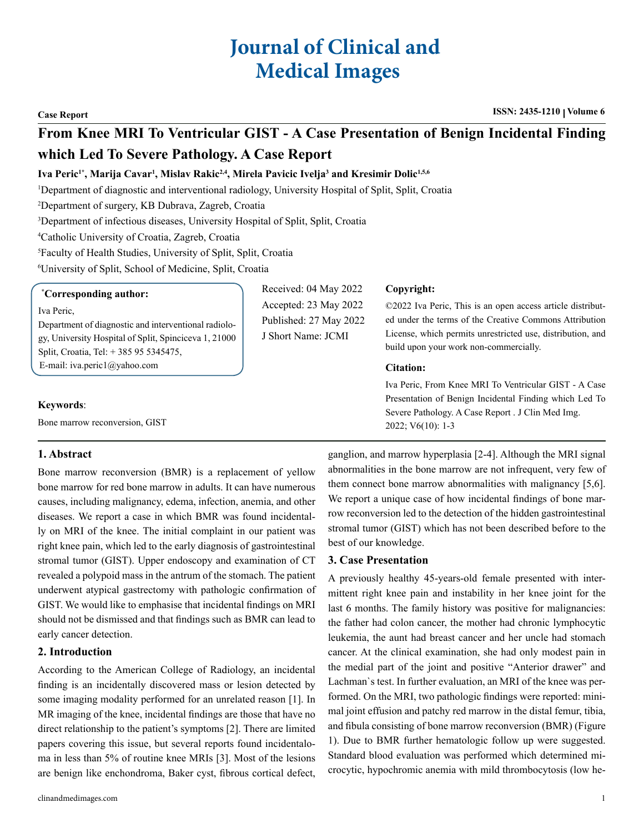# **Journal of Clinical and Medical Images**

# **From Knee MRI To Ventricular GIST - A Case Presentation of Benign Incidental Finding which Led To Severe Pathology. A Case Report**

# Iva Peric<sup>1\*</sup>, Marija Cavar<sup>ı</sup>, Mislav Rakic<sup>2,4</sup>, Mirela Pavicic Ivelja<sup>3</sup> and Kresimir Dolic<sup>1,5,6</sup>

1 Department of diagnostic and interventional radiology, University Hospital of Split, Split, Croatia

2 Department of surgery, KB Dubrava, Zagreb, Croatia

3 Department of infectious diseases, University Hospital of Split, Split, Croatia

4 Catholic University of Croatia, Zagreb, Croatia

5 Faculty of Health Studies, University of Split, Split, Croatia

6 University of Split, School of Medicine, Split, Croatia

#### **\* Corresponding author:**

Iva Peric,

Department of diagnostic and interventional radiology, University Hospital of Split, Spinciceva 1, 21000 Split, Croatia, Tel: + 385 95 5345475, E-mail: [iva.peric1@yahoo.com](mailto:iva.peric1@yahoo.com)

Received: 04 May 2022 Accepted: 23 May 2022 Published: 27 May 2022 J Short Name: JCMI

## **Copyright:**

©2022 Iva Peric, This is an open access article distributed under the terms of the Creative Commons Attribution License, which permits unrestricted use, distribution, and build upon your work non-commercially.

#### **Citation:**

Iva Peric, From Knee MRI To Ventricular GIST - A Case Presentation of Benign Incidental Finding which Led To Severe Pathology. A Case Report . J Clin Med Img. 2022; V6(10): 1-3

### **Keywords**:

Bone marrow reconversion, GIST

# **1. Abstract**

Bone marrow reconversion (BMR) is a replacement of yellow bone marrow for red bone marrow in adults. It can have numerous causes, including malignancy, edema, infection, anemia, and other diseases. We report a case in which BMR was found incidentally on MRI of the knee. The initial complaint in our patient was right knee pain, which led to the early diagnosis of gastrointestinal stromal tumor (GIST). Upper endoscopy and examination of CT revealed a polypoid mass in the antrum of the stomach. The patient underwent atypical gastrectomy with pathologic confirmation of GIST. We would like to emphasise that incidental findings on MRI should not be dismissed and that findings such as BMR can lead to early cancer detection.

### **2. Introduction**

According to the American College of Radiology, an incidental finding is an incidentally discovered mass or lesion detected by some imaging modality performed for an unrelated reason [1]. In MR imaging of the knee, incidental findings are those that have no direct relationship to the patient's symptoms [2]. There are limited papers covering this issue, but several reports found incidentaloma in less than 5% of routine knee MRIs [3]. Most of the lesions are benign like enchondroma, Baker cyst, fibrous cortical defect,

ganglion, and marrow hyperplasia [2-4]. Although the MRI signal abnormalities in the bone marrow are not infrequent, very few of them connect bone marrow abnormalities with malignancy [5,6]. We report a unique case of how incidental findings of bone marrow reconversion led to the detection of the hidden gastrointestinal stromal tumor (GIST) which has not been described before to the best of our knowledge.

### **3. Case Presentation**

A previously healthy 45-years-old female presented with intermittent right knee pain and instability in her knee joint for the last 6 months. The family history was positive for malignancies: the father had colon cancer, the mother had chronic lymphocytic leukemia, the aunt had breast cancer and her uncle had stomach cancer. At the clinical examination, she had only modest pain in the medial part of the joint and positive "Anterior drawer" and Lachman`s test. In further evaluation, an MRI of the knee was performed. On the MRI, two pathologic findings were reported: minimal joint effusion and patchy red marrow in the distal femur, tibia, and fibula consisting of bone marrow reconversion (BMR) (Figure 1). Due to BMR further hematologic follow up were suggested. Standard blood evaluation was performed which determined microcytic, hypochromic anemia with mild thrombocytosis (low he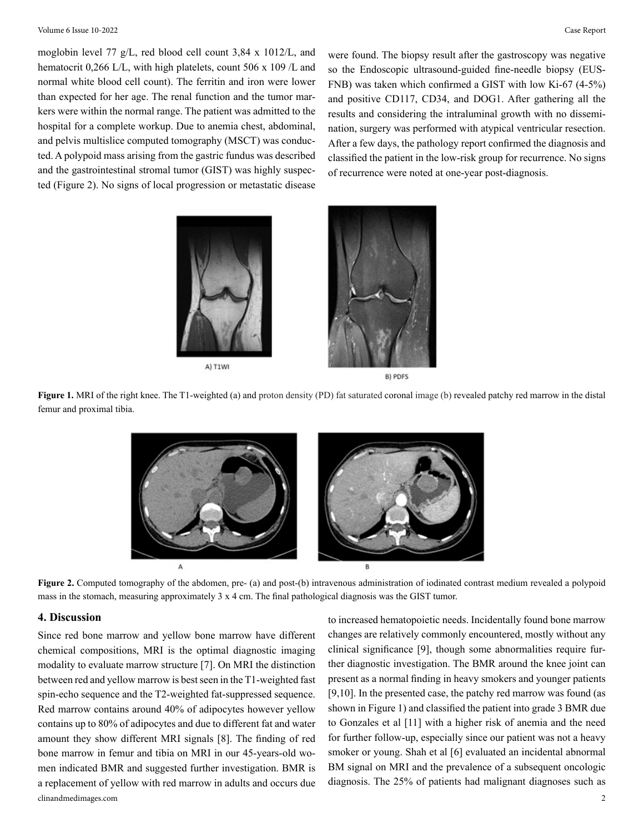moglobin level 77 g/L, red blood cell count 3,84 x 1012/L, and hematocrit 0,266 L/L, with high platelets, count 506 x 109 /L and normal white blood cell count). The ferritin and iron were lower than expected for her age. The renal function and the tumor markers were within the normal range. The patient was admitted to the hospital for a complete workup. Due to anemia chest, abdominal, and pelvis multislice computed tomography (MSCT) was conducted. A polypoid mass arising from the gastric fundus was described and the gastrointestinal stromal tumor (GIST) was highly suspected (Figure 2). No signs of local progression or metastatic disease

were found. The biopsy result after the gastroscopy was negative so the Endoscopic ultrasound-guided fine-needle biopsy (EUS-FNB) was taken which confirmed a GIST with low Ki-67 (4-5%) and positive CD117, CD34, and DOG1. After gathering all the results and considering the intraluminal growth with no dissemination, surgery was performed with atypical ventricular resection. After a few days, the pathology report confirmed the diagnosis and classified the patient in the low-risk group for recurrence. No signs of recurrence were noted at one-year post-diagnosis.





**Figure 1.** MRI of the right knee. The T1-weighted (a) and proton density (PD) fat saturated coronal image (b) revealed patchy red marrow in the distal femur and proximal tibia.



**Figure 2.** Computed tomography of the abdomen, pre- (a) and post-(b) intravenous administration of iodinated contrast medium revealed a polypoid mass in the stomach, measuring approximately 3 x 4 cm. The final pathological diagnosis was the GIST tumor.

#### **4. Discussion**

clinandmedimages.com 2 Since red bone marrow and yellow bone marrow have different chemical compositions, MRI is the optimal diagnostic imaging modality to evaluate marrow structure [7]. On MRI the distinction between red and yellow marrow is best seen in the T1-weighted fast spin-echo sequence and the T2-weighted fat-suppressed sequence. Red marrow contains around 40% of adipocytes however yellow contains up to 80% of adipocytes and due to different fat and water amount they show different MRI signals [8]. The finding of red bone marrow in femur and tibia on MRI in our 45-years-old women indicated BMR and suggested further investigation. BMR is a replacement of yellow with red marrow in adults and occurs due

to increased hematopoietic needs. Incidentally found bone marrow changes are relatively commonly encountered, mostly without any clinical significance [9], though some abnormalities require further diagnostic investigation. The BMR around the knee joint can present as a normal finding in heavy smokers and younger patients [9,10]. In the presented case, the patchy red marrow was found (as shown in Figure 1) and classified the patient into grade 3 BMR due to Gonzales et al [11] with a higher risk of anemia and the need for further follow-up, especially since our patient was not a heavy smoker or young. Shah et al [6] evaluated an incidental abnormal BM signal on MRI and the prevalence of a subsequent oncologic diagnosis. The 25% of patients had malignant diagnoses such as